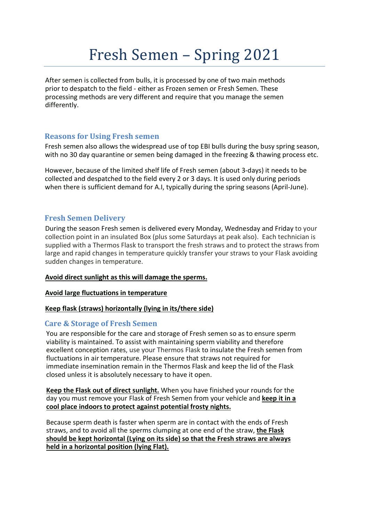# Fresh Semen – Spring 2021

After semen is collected from bulls, it is processed by one of two main methods prior to despatch to the field - either as Frozen semen or Fresh Semen. These processing methods are very different and require that you manage the semen differently.

## Reasons for Using Fresh semen

Fresh semen also allows the widespread use of top EBI bulls during the busy spring season, with no 30 day quarantine or semen being damaged in the freezing & thawing process etc.

However, because of the limited shelf life of Fresh semen (about 3-days) it needs to be collected and despatched to the field every 2 or 3 days. It is used only during periods when there is sufficient demand for A.I, typically during the spring seasons (April-June).

## Fresh Semen Delivery

During the season Fresh semen is delivered every Monday, Wednesday and Friday to your collection point in an insulated Box (plus some Saturdays at peak also). Each technician is supplied with a Thermos Flask to transport the fresh straws and to protect the straws from large and rapid changes in temperature quickly transfer your straws to your Flask avoiding sudden changes in temperature.

### Avoid direct sunlight as this will damage the sperms.

### Avoid large fluctuations in temperature

### Keep flask (straws) horizontally (lying in its/there side)

## Care & Storage of Fresh Semen

You are responsible for the care and storage of Fresh semen so as to ensure sperm viability is maintained. To assist with maintaining sperm viability and therefore excellent conception rates, use your Thermos Flask to insulate the Fresh semen from fluctuations in air temperature. Please ensure that straws not required for immediate insemination remain in the Thermos Flask and keep the lid of the Flask closed unless it is absolutely necessary to have it open.

Keep the Flask out of direct sunlight. When you have finished your rounds for the day you must remove your Flask of Fresh Semen from your vehicle and keep it in a cool place indoors to protect against potential frosty nights.

Because sperm death is faster when sperm are in contact with the ends of Fresh straws, and to avoid all the sperms clumping at one end of the straw, the Flask should be kept horizontal (Lying on its side) so that the Fresh straws are always held in a horizontal position (lying Flat).